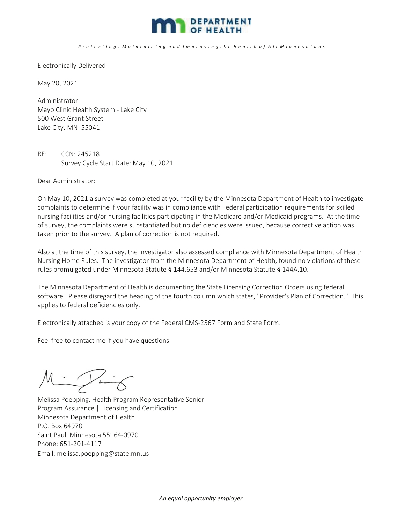

## P r o t e c t i n g , M a i n t a i n i n g a n d I m p r o v i n g t h e H e a l t h o f A l l M i n n e s o t a n s

Electronically Delivered

May 20, 2021

Administrator Mayo Clinic Health System - Lake City 500 West Grant Street Lake City, MN 55041

RE: CCN: 245218 Survey Cycle Start Date: May 10, 2021

Dear Administrator:

On May 10, 2021 a survey was completed at your facility by the Minnesota Department of Health to investigate complaints to determine if your facility was in compliance with Federal participation requirements for skilled nursing facilities and/or nursing facilities participating in the Medicare and/or Medicaid programs. At the time of survey, the complaints were substantiated but no deficiencies were issued, because corrective action was taken prior to the survey. A plan of correction is not required.

Also at the time of this survey, the investigator also assessed compliance with Minnesota Department of Health Nursing Home Rules. The investigator from the Minnesota Department of Health, found no violations of these rules promulgated under Minnesota Statute § 144.653 and/or Minnesota Statute § 144A.10.

The Minnesota Department of Health is documenting the State Licensing Correction Orders using federal software. Please disregard the heading of the fourth column which states, "Provider's Plan of Correction." This applies to federal deficiencies only.

Electronically attached is your copy of the Federal CMS-2567 Form and State Form.

Feel free to contact me if you have questions.

Punt ľ

Melissa Poepping, Health Program Representative Senior Program Assurance | Licensing and Certification Minnesota Department of Health P.O. Box 64970 Saint Paul, Minnesota 55164-0970 Phone: 651-201-4117 Email: melissa.poepping@state.mn.us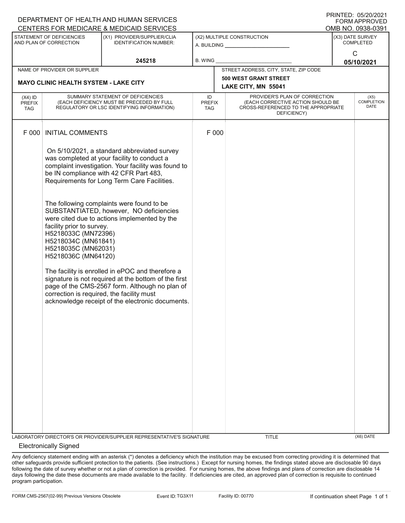| DEPARTMENT OF HEALTH AND HUMAN SERVICES             |                                                                                                                                                                    |                                                                                                                                                                                                                                                                                                                                                                                                                                                                                                                                                                                                      |                                                                      |         |                                                                                                                          |                                      | I I \II \I LD. 00/L0/L02 I<br>FORM APPROVED |
|-----------------------------------------------------|--------------------------------------------------------------------------------------------------------------------------------------------------------------------|------------------------------------------------------------------------------------------------------------------------------------------------------------------------------------------------------------------------------------------------------------------------------------------------------------------------------------------------------------------------------------------------------------------------------------------------------------------------------------------------------------------------------------------------------------------------------------------------------|----------------------------------------------------------------------|---------|--------------------------------------------------------------------------------------------------------------------------|--------------------------------------|---------------------------------------------|
|                                                     |                                                                                                                                                                    | CENTERS FOR MEDICARE & MEDICAID SERVICES                                                                                                                                                                                                                                                                                                                                                                                                                                                                                                                                                             |                                                                      |         |                                                                                                                          |                                      | OMB NO. 0938-0391                           |
| STATEMENT OF DEFICIENCIES<br>AND PLAN OF CORRECTION |                                                                                                                                                                    | (X1) PROVIDER/SUPPLIER/CLIA<br><b>IDENTIFICATION NUMBER:</b>                                                                                                                                                                                                                                                                                                                                                                                                                                                                                                                                         | (X2) MULTIPLE CONSTRUCTION<br>A. BUILDING <u>___________________</u> |         |                                                                                                                          | (X3) DATE SURVEY<br><b>COMPLETED</b> |                                             |
|                                                     |                                                                                                                                                                    | 245218                                                                                                                                                                                                                                                                                                                                                                                                                                                                                                                                                                                               |                                                                      | B. WING |                                                                                                                          |                                      | $\mathsf{C}$<br>05/10/2021                  |
|                                                     | NAME OF PROVIDER OR SUPPLIER                                                                                                                                       |                                                                                                                                                                                                                                                                                                                                                                                                                                                                                                                                                                                                      |                                                                      |         | STREET ADDRESS, CITY, STATE, ZIP CODE                                                                                    |                                      |                                             |
|                                                     |                                                                                                                                                                    |                                                                                                                                                                                                                                                                                                                                                                                                                                                                                                                                                                                                      |                                                                      |         | 500 WEST GRANT STREET                                                                                                    |                                      |                                             |
|                                                     | <b>MAYO CLINIC HEALTH SYSTEM - LAKE CITY</b>                                                                                                                       |                                                                                                                                                                                                                                                                                                                                                                                                                                                                                                                                                                                                      | LAKE CITY, MN 55041                                                  |         |                                                                                                                          |                                      |                                             |
| $(X4)$ ID<br><b>PREFIX</b><br><b>TAG</b>            |                                                                                                                                                                    | SUMMARY STATEMENT OF DEFICIENCIES<br>(EACH DEFICIENCY MUST BE PRECEDED BY FULL<br>REGULATORY OR LSC IDENTIFYING INFORMATION)                                                                                                                                                                                                                                                                                                                                                                                                                                                                         | ID<br><b>PREFIX</b><br>TAG                                           |         | PROVIDER'S PLAN OF CORRECTION<br>(EACH CORRECTIVE ACTION SHOULD BE<br>CROSS-REFERENCED TO THE APPROPRIATE<br>DEFICIENCY) |                                      | (X5)<br><b>COMPLETION</b><br><b>DATE</b>    |
| F 000                                               | <b>INITIAL COMMENTS</b>                                                                                                                                            |                                                                                                                                                                                                                                                                                                                                                                                                                                                                                                                                                                                                      | F 000                                                                |         |                                                                                                                          |                                      |                                             |
|                                                     | facility prior to survey.<br>H5218033C (MN72396)<br>H5218034C (MN61841)<br>H5218035C (MN62031)<br>H5218036C (MN64120)<br>correction is required, the facility must | On 5/10/2021, a standard abbreviated survey<br>was completed at your facility to conduct a<br>complaint investigation. Your facility was found to<br>be IN compliance with 42 CFR Part 483,<br>Requirements for Long Term Care Facilities.<br>The following complaints were found to be<br>SUBSTANTIATED, however, NO deficiencies<br>were cited due to actions implemented by the<br>The facility is enrolled in ePOC and therefore a<br>signature is not required at the bottom of the first<br>page of the CMS-2567 form. Although no plan of<br>acknowledge receipt of the electronic documents. |                                                                      |         |                                                                                                                          |                                      |                                             |
|                                                     |                                                                                                                                                                    | LABORATORY DIRECTOR'S OR PROVIDER/SUPPLIER REPRESENTATIVE'S SIGNATURE                                                                                                                                                                                                                                                                                                                                                                                                                                                                                                                                |                                                                      |         | TITLE                                                                                                                    |                                      | $(X6)$ DATE                                 |

## Electronically Signed

Any deficiency statement ending with an asterisk (\*) denotes a deficiency which the institution may be excused from correcting providing it is determined that other safeguards provide sufficient protection to the patients. (See instructions.) Except for nursing homes, the findings stated above are disclosable 90 days following the date of survey whether or not a plan of correction is provided. For nursing homes, the above findings and plans of correction are disclosable 14 days following the date these documents are made available to the facility. If deficiencies are cited, an approved plan of correction is requisite to continued program participation.

PRINTED: 05/20/2021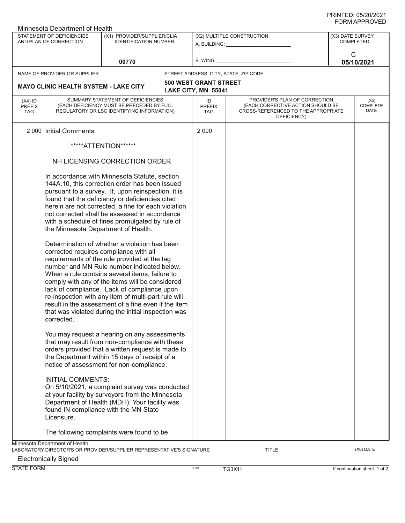| Minnesota Department of Health                      |                                                                                                     |                                                                                                                                                                                                                                                                                                                                                                                                                                                                                                                                                                                                                                                                                                                                                                                                                                             |                                   |                                                                                                                          |                 |                               |  |
|-----------------------------------------------------|-----------------------------------------------------------------------------------------------------|---------------------------------------------------------------------------------------------------------------------------------------------------------------------------------------------------------------------------------------------------------------------------------------------------------------------------------------------------------------------------------------------------------------------------------------------------------------------------------------------------------------------------------------------------------------------------------------------------------------------------------------------------------------------------------------------------------------------------------------------------------------------------------------------------------------------------------------------|-----------------------------------|--------------------------------------------------------------------------------------------------------------------------|-----------------|-------------------------------|--|
| STATEMENT OF DEFICIENCIES<br>AND PLAN OF CORRECTION |                                                                                                     | (X1) PROVIDER/SUPPLIER/CLIA<br><b>IDENTIFICATION NUMBER:</b>                                                                                                                                                                                                                                                                                                                                                                                                                                                                                                                                                                                                                                                                                                                                                                                | (X2) MULTIPLE CONSTRUCTION        |                                                                                                                          |                 | (X3) DATE SURVEY<br>COMPLETED |  |
| 00770                                               |                                                                                                     |                                                                                                                                                                                                                                                                                                                                                                                                                                                                                                                                                                                                                                                                                                                                                                                                                                             | <b>B. WING</b>                    |                                                                                                                          | C<br>05/10/2021 |                               |  |
|                                                     | NAME OF PROVIDER OR SUPPLIER                                                                        |                                                                                                                                                                                                                                                                                                                                                                                                                                                                                                                                                                                                                                                                                                                                                                                                                                             |                                   | STREET ADDRESS, CITY, STATE, ZIP CODE                                                                                    |                 |                               |  |
|                                                     | <b>500 WEST GRANT STREET</b><br><b>MAYO CLINIC HEALTH SYSTEM - LAKE CITY</b><br>LAKE CITY, MN 55041 |                                                                                                                                                                                                                                                                                                                                                                                                                                                                                                                                                                                                                                                                                                                                                                                                                                             |                                   |                                                                                                                          |                 |                               |  |
| $(X4)$ ID<br><b>PREFIX</b><br><b>TAG</b>            |                                                                                                     | SUMMARY STATEMENT OF DEFICIENCIES<br>(EACH DEFICIENCY MUST BE PRECEDED BY FULL<br>REGULATORY OR LSC IDENTIFYING INFORMATION)                                                                                                                                                                                                                                                                                                                                                                                                                                                                                                                                                                                                                                                                                                                | ID<br><b>PREFIX</b><br><b>TAG</b> | PROVIDER'S PLAN OF CORRECTION<br>(EACH CORRECTIVE ACTION SHOULD BE<br>CROSS-REFERENCED TO THE APPROPRIATE<br>DEFICIENCY) |                 | (X5)<br>COMPLETE<br>DATE      |  |
| 2 0 0 0                                             | <b>Initial Comments</b>                                                                             |                                                                                                                                                                                                                                                                                                                                                                                                                                                                                                                                                                                                                                                                                                                                                                                                                                             | 2 0 0 0                           |                                                                                                                          |                 |                               |  |
|                                                     |                                                                                                     | *****ATTENTION******                                                                                                                                                                                                                                                                                                                                                                                                                                                                                                                                                                                                                                                                                                                                                                                                                        |                                   |                                                                                                                          |                 |                               |  |
|                                                     | NH LICENSING CORRECTION ORDER                                                                       |                                                                                                                                                                                                                                                                                                                                                                                                                                                                                                                                                                                                                                                                                                                                                                                                                                             |                                   |                                                                                                                          |                 |                               |  |
|                                                     | the Minnesota Department of Health.<br>corrected requires compliance with all<br>corrected.         | In accordance with Minnesota Statute, section<br>144A.10, this correction order has been issued<br>pursuant to a survey. If, upon reinspection, it is<br>found that the deficiency or deficiencies cited<br>herein are not corrected, a fine for each violation<br>not corrected shall be assessed in accordance<br>with a schedule of fines promulgated by rule of<br>Determination of whether a violation has been<br>requirements of the rule provided at the tag<br>number and MN Rule number indicated below.<br>When a rule contains several items, failure to<br>comply with any of the items will be considered<br>lack of compliance. Lack of compliance upon<br>re-inspection with any item of multi-part rule will<br>result in the assessment of a fine even if the item<br>that was violated during the initial inspection was |                                   |                                                                                                                          |                 |                               |  |
|                                                     |                                                                                                     | You may request a hearing on any assessments<br>that may result from non-compliance with these<br>orders provided that a written request is made to<br>the Department within 15 days of receipt of a<br>notice of assessment for non-compliance.                                                                                                                                                                                                                                                                                                                                                                                                                                                                                                                                                                                            |                                   |                                                                                                                          |                 |                               |  |
|                                                     | <b>INITIAL COMMENTS:</b><br>Licensure.                                                              | On 5/10/2021, a complaint survey was conducted<br>at your facility by surveyors from the Minnesota<br>Department of Health (MDH). Your facility was<br>found IN compliance with the MN State                                                                                                                                                                                                                                                                                                                                                                                                                                                                                                                                                                                                                                                |                                   |                                                                                                                          |                 |                               |  |
|                                                     |                                                                                                     | The following complaints were found to be                                                                                                                                                                                                                                                                                                                                                                                                                                                                                                                                                                                                                                                                                                                                                                                                   |                                   |                                                                                                                          |                 |                               |  |
|                                                     | Minnesota Department of Health                                                                      | LABORATORY DIRECTOR'S OR PROVIDER/SUPPLIER REPRESENTATIVE'S SIGNATURE                                                                                                                                                                                                                                                                                                                                                                                                                                                                                                                                                                                                                                                                                                                                                                       |                                   | <b>TITLE</b>                                                                                                             |                 | (X6) DATE                     |  |

Electronically Signed